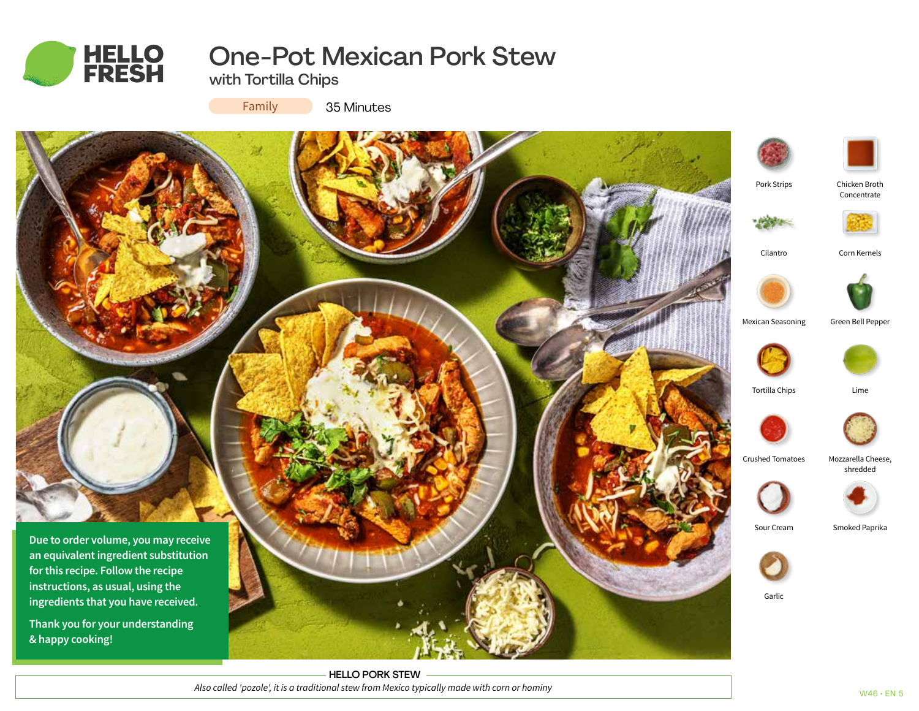

# One-Pot Mexican Pork Stew

with Tortilla Chips

Family

35 Minutes